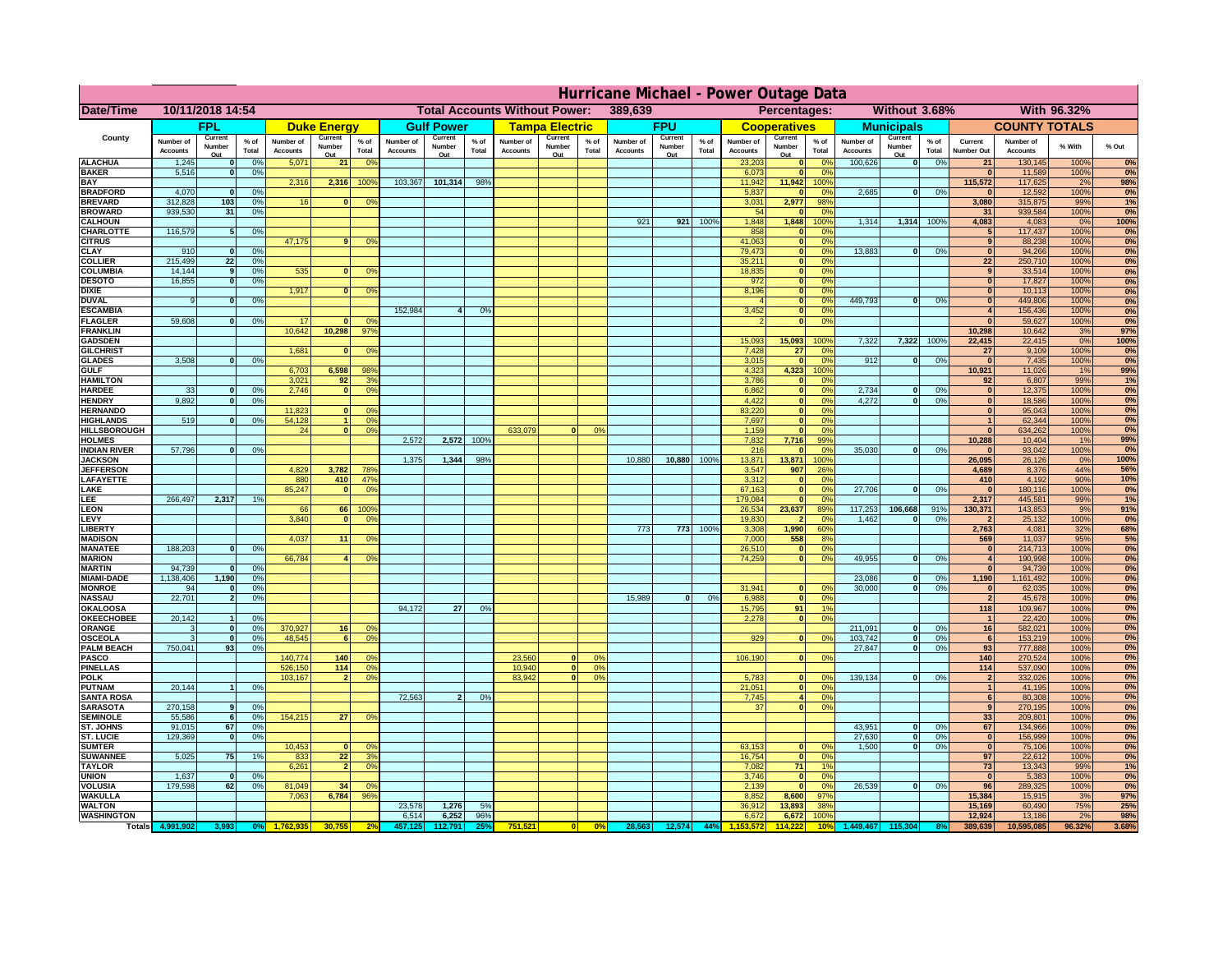|                                      | Hurricane Michael - Power Outage Data |                    |                                  |                              |                    |                                                 |                              |                   |                 |                              |                                              |                 |                       |                   |               |                              |                              |                        |                              |                          |                 |                                    |                              |              |            |
|--------------------------------------|---------------------------------------|--------------------|----------------------------------|------------------------------|--------------------|-------------------------------------------------|------------------------------|-------------------|-----------------|------------------------------|----------------------------------------------|-----------------|-----------------------|-------------------|---------------|------------------------------|------------------------------|------------------------|------------------------------|--------------------------|-----------------|------------------------------------|------------------------------|--------------|------------|
| Date/Time                            | 10/11/2018 14:54                      |                    |                                  |                              |                    | 389,639<br><b>Total Accounts Without Power:</b> |                              |                   |                 |                              | Without 3.68%<br>With 96.32%<br>Percentages: |                 |                       |                   |               |                              |                              |                        |                              |                          |                 |                                    |                              |              |            |
|                                      |                                       | <b>FPL</b>         |                                  |                              | <b>Duke Energy</b> |                                                 |                              | <b>Gulf Power</b> |                 |                              | <b>Tampa Electric</b>                        |                 |                       | <b>FPU</b>        |               |                              | <b>Cooperatives</b>          |                        |                              | <b>Municipals</b>        |                 |                                    | <b>COUNTY TOTALS</b>         |              |            |
| County                               | Number of<br><b>Accounts</b>          | Current<br>Number  | % of<br>Total                    | Number of<br><b>Accounts</b> | Current<br>Number  | $%$ of<br>Total                                 | Number of<br><b>Accounts</b> | Current<br>Number | $%$ of<br>Total | Number of<br><b>Accounts</b> | Current<br>Number                            | $%$ of<br>Total | Number of<br>Accounts | Current<br>Number | % of<br>Total | Number of<br><b>Accounts</b> | Current<br>Number            | $%$ of<br>Total        | Number of<br><b>Accounts</b> | Current<br>Number        | $%$ of<br>Total | Current<br><b>Number Out</b>       | Number of<br><b>Accounts</b> | % With       | % Out      |
| <b>ALACHUA</b>                       | 1,245                                 | Out                | 0 <sup>9</sup>                   | 5,071                        | Out<br>21          | 0 <sup>9</sup>                                  |                              | Out               |                 |                              | Out                                          |                 |                       | Out               |               | 23,203                       | Out<br>$\mathbf{0}$          | 0 <sup>9</sup>         | 100,626                      | Out<br> 0                | 0%              | 21                                 | 130,145                      | 100%         | 0%         |
| <b>BAKER</b>                         | 5,516                                 |                    | 0%                               |                              |                    |                                                 |                              |                   |                 |                              |                                              |                 |                       |                   |               | 6,073                        | ō                            | 0%                     |                              |                          |                 | $\Omega$                           | 11,589                       | 100%         | 0%         |
| <b>BAY</b><br><b>BRADFORD</b>        | 4,070                                 |                    | 0%                               | 2,316                        | 2,316              | 100%                                            | 103,367                      | 101,314           | 98%             |                              |                                              |                 |                       |                   |               | 11,942<br>5,837              | 11,942<br>$\mathbf{0}$       | 100%<br>0 <sup>9</sup> | 2,685                        | $\overline{\mathbf{0}}$  | 0%              | 115,572                            | 117,625<br>12,592            | 2%<br>100%   | 98%<br>0%  |
| <b>BREVARD</b>                       | 312,828                               | 103                | 0 <sup>9</sup>                   | 16                           | $\mathbf{0}$       | 0 <sup>o</sup>                                  |                              |                   |                 |                              |                                              |                 |                       |                   |               | 3,031                        | 2,977                        | 98%                    |                              |                          |                 | 3,080                              | 315,875                      | 99%          | 1%         |
| <b>BROWARD</b>                       | 939.530                               | 31                 | 0 <sup>9</sup>                   |                              |                    |                                                 |                              |                   |                 |                              |                                              |                 |                       |                   |               | 54                           | $\mathbf{0}$                 | 0%                     |                              |                          |                 | 31                                 | 939,584                      | 100%         | 0%         |
| <b>CALHOUN</b><br>CHARLOTTE          | 116,579                               |                    | 0 <sup>9</sup>                   |                              |                    |                                                 |                              |                   |                 |                              |                                              |                 | 921                   | 921               | 100%          | 1,848<br>858                 | 1,848<br>$\mathbf 0$         | 100%<br>0 <sup>o</sup> | 1,314                        | 1,314 100%               |                 | 4,083<br>5                         | 4,083<br>117,437             | 0%<br>100%   | 100%<br>0% |
| <b>CITRUS</b>                        |                                       |                    |                                  | 47,175                       | 9                  | 0 <sup>9</sup>                                  |                              |                   |                 |                              |                                              |                 |                       |                   |               | 41,063                       | $\mathbf{0}$                 | 0 <sup>9</sup>         |                              |                          |                 | 9                                  | 88,238                       | 100%         | 0%         |
| <b>CLAY</b>                          | 910                                   |                    | 0 <sup>9</sup>                   |                              |                    |                                                 |                              |                   |                 |                              |                                              |                 |                       |                   |               | 79,473                       | $\bullet$                    | 0 <sup>9</sup>         | 13,883                       | $\mathbf{0}$             | 0%              | $\bf{0}$                           | 94,266                       | 100%         | 0%         |
| <b>COLLIER</b><br><b>COLUMBIA</b>    | 215,499<br>14,144                     | 22<br>$\mathbf{q}$ | 0 <sup>9</sup><br>0 <sup>9</sup> | 535                          | $\bf{0}$           | 0 <sup>9</sup>                                  |                              |                   |                 |                              |                                              |                 |                       |                   |               | 35,211<br>18,835             | $\mathbf{0}$<br>ō            | 0%<br>0%               |                              |                          |                 | 22<br>9                            | 250,710<br>33,514            | 100%<br>100% | 0%<br>0%   |
| <b>DESOTO</b>                        | 16,855                                |                    | 0%                               |                              |                    |                                                 |                              |                   |                 |                              |                                              |                 |                       |                   |               | 972                          | ō                            | 0%                     |                              |                          |                 | $\bf{0}$                           | 17,827                       | 100%         | 0%         |
| <b>DIXIE</b>                         |                                       |                    |                                  | 1,917                        | $\bf{0}$           | 0°                                              |                              |                   |                 |                              |                                              |                 |                       |                   |               | 8,196                        | $\mathbf{0}$                 | nº                     |                              |                          |                 | $\bf{0}$                           | 10,113                       | 100%         | 0%         |
| <b>DUVAL</b><br><b>ESCAMBIA</b>      |                                       |                    | 0%                               |                              |                    |                                                 | 152,984                      | 4                 | 0 <sup>9</sup>  |                              |                                              |                 |                       |                   |               | 3,452                        | $\mathbf{0}$<br>$\mathbf{0}$ | 0%<br>0%               | 449.793                      | ol                       | 0%              | $\Omega$<br>$\boldsymbol{\Lambda}$ | 449,806<br>156,436           | 100%<br>100% | 0%<br>0%   |
| <b>FLAGLER</b>                       | 59,608                                |                    | 0%                               | 17                           | n                  | 0 <sup>9</sup>                                  |                              |                   |                 |                              |                                              |                 |                       |                   |               |                              | $\bullet$                    | 0%                     |                              |                          |                 | $\Omega$                           | 59,627                       | 100%         | 0%         |
| <b>FRANKLIN</b>                      |                                       |                    |                                  | 10,642                       | 10,298             | $97^{\circ}$                                    |                              |                   |                 |                              |                                              |                 |                       |                   |               |                              |                              |                        |                              |                          |                 | 10,298                             | 10,642                       | 3%           | 97%        |
| <b>GADSDEN</b>                       |                                       |                    |                                  | 1,681                        |                    |                                                 |                              |                   |                 |                              |                                              |                 |                       |                   |               | 15,093                       | 15,093                       | 100%<br>0%             | 7,322                        | 7,322                    | 100%            | 22,415                             | 22,415                       | 0%<br>100%   | 100%       |
| <b>GILCHRIST</b><br><b>GLADES</b>    | 3,508                                 |                    | 0 <sup>9</sup>                   |                              | $\bf{0}$           | 0 <sup>9</sup>                                  |                              |                   |                 |                              |                                              |                 |                       |                   |               | 7,428<br>3,015               | $\overline{27}$<br>$\bullet$ | 0%                     | 912                          | 0                        | 0%              | 27<br>$\overline{0}$               | 9,109<br>7,435               | 100%         | 0%<br>0%   |
| <b>GULF</b>                          |                                       |                    |                                  | 6,703                        | 6,598              | 98%                                             |                              |                   |                 |                              |                                              |                 |                       |                   |               | 4,323                        | 4,323                        | 100%                   |                              |                          |                 | 10,921                             | 11,026                       | 1%           | 99%        |
| <b>HAMILTON</b>                      |                                       |                    |                                  | 3,021                        | 92                 | 3 <sup>9</sup>                                  |                              |                   |                 |                              |                                              |                 |                       |                   |               | 3,786                        | $\mathbf{0}$                 | 0%                     |                              |                          |                 | 92                                 | 6,807                        | 99%          | 1%         |
| <b>HARDEE</b><br><b>HENDRY</b>       | 33<br>9,892                           |                    | 0%<br>0 <sup>9</sup>             | 2.746                        |                    | n l<br>0 <sup>9</sup>                           |                              |                   |                 |                              |                                              |                 |                       |                   |               | 6.862<br>4,422               | 0 <br> 0                     | 0%<br>0%               | 2.734<br>4,272               | $\mathbf{0}$<br>$\Omega$ | 0%<br>0%        | 0 <br> 0                           | 12,375<br>18,586             | 100%<br>100% | 0%<br>0%   |
| <b>HERNANDO</b>                      |                                       |                    |                                  | 11,823                       |                    | 0 <sup>9</sup><br>$\mathbf{0}$                  |                              |                   |                 |                              |                                              |                 |                       |                   |               | 83,220                       | 0                            | 0%                     |                              |                          |                 | $\mathbf{0}$                       | 95,043                       | 100%         | 0%         |
| <b>HIGHLANDS</b>                     | 519                                   |                    | 0 <sup>9</sup>                   | 54,128                       |                    | 1 <sup>1</sup><br>0%                            |                              |                   |                 |                              |                                              |                 |                       |                   |               | 7,697                        | 0                            | 0%                     |                              |                          |                 | 1                                  | 62,344                       | 100%         | 0%         |
| HILLSBOROUGH                         |                                       |                    |                                  | 24                           |                    | $\mathbf{0}$<br>0%                              |                              |                   |                 | 633,079                      | $\Omega$                                     | 0%              |                       |                   |               | 1,159                        | $\mathbf{0}$                 | 0%                     |                              |                          |                 | $\mathbf{0}$                       | 634,262                      | 100%         | 0%         |
| <b>HOLMES</b><br><b>INDIAN RIVER</b> | 57,796                                |                    | 0 <sup>9</sup>                   |                              |                    |                                                 | 2.572                        | 2.572             | $100^{o}$       |                              |                                              |                 |                       |                   |               | 7,832<br>216                 | 7,716<br>$\mathbf{0}$        | 99%<br>0%              | 35.030                       | $\mathbf{0}$             | 0%              | 10,288<br>$\Omega$                 | 10,404<br>93,042             | 1%<br>100%   | 99%<br>0%  |
| <b>JACKSON</b>                       |                                       |                    |                                  |                              |                    |                                                 | 1.375                        | 1,344             | 98%             |                              |                                              |                 | 10,880                | 10.880            | 100%          | 13,871                       | 13.871                       | 100%                   |                              |                          |                 | 26.095                             | 26,126                       | 0%           | 100%       |
| <b>JEFFERSON</b>                     |                                       |                    |                                  | 4.829                        | 3.782              | 78%                                             |                              |                   |                 |                              |                                              |                 |                       |                   |               | 3.547                        | 907                          | 26%                    |                              |                          |                 | 4.689                              | 8.376                        | 44%          | 56%        |
| LAFAYETTE<br>LAKE                    |                                       |                    |                                  | 880<br>85,247                | 410                | 47%<br>0 <sup>9</sup><br>n l                    |                              |                   |                 |                              |                                              |                 |                       |                   |               | 3.312<br>67,163              | $\mathbf{0}$<br>$\mathbf{0}$ | 0%<br>0%               | 27,706                       | $\Omega$                 | 0%              | 410<br> 0                          | 4.192<br>180,116             | 90%<br>100%  | 10%<br>0%  |
| LEE                                  | 266,497                               | 2,317              | 1%                               |                              |                    |                                                 |                              |                   |                 |                              |                                              |                 |                       |                   |               | 179,084                      | $\mathbf 0$                  | 0%                     |                              |                          |                 | 2,317                              | 445,581                      | 99%          | 1%         |
| <b>LEON</b>                          |                                       |                    |                                  | 66                           |                    | 66 1009                                         |                              |                   |                 |                              |                                              |                 |                       |                   |               | 26,534                       | 23,637                       | 89%                    | 117,253                      | 106,668                  | 91%             | 130,371                            | 143,853                      | 9%           | 91%        |
| LEVY                                 |                                       |                    |                                  | 3,840                        | $\Omega$           | 0 <sup>9</sup>                                  |                              |                   |                 |                              |                                              |                 |                       |                   |               | 19,830                       | $\overline{2}$               | 0%                     | 1,462                        | $\Omega$                 | 0%              | $\mathbf{2}$                       | 25,132                       | 100%         | 0%         |
| LIBERTY<br><b>MADISON</b>            |                                       |                    |                                  | 4,037                        | 11                 | 0 <sup>9</sup>                                  |                              |                   |                 |                              |                                              |                 | 773                   | 773               | 100%          | 3,308<br>7,000               | 1,990<br>558                 | 60%<br>8%              |                              |                          |                 | 2,763<br>569                       | 4,081<br>11,037              | 32%<br>95%   | 68%<br>5%  |
| <b>MANATEE</b>                       | 188,203                               | $\Omega$           | 0%                               |                              |                    |                                                 |                              |                   |                 |                              |                                              |                 |                       |                   |               | 26,510                       | $\mathbf 0$                  | 0%                     |                              |                          |                 | 0                                  | 214,713                      | 100%         | 0%         |
| <b>MARION</b>                        |                                       |                    |                                  | 66,784                       |                    | 0°                                              |                              |                   |                 |                              |                                              |                 |                       |                   |               | 74,259                       | $\mathbf{0}$                 | 0%                     | 49,955                       | $\Omega$                 | 0%              | $\overline{4}$                     | 190,998                      | 100%         | 0%         |
| <b>MARTIN</b><br><b>MIAMI-DADE</b>   | 94,739<br>1,138,406                   | 1,190              | 0 <sup>9</sup><br>0%             |                              |                    |                                                 |                              |                   |                 |                              |                                              |                 |                       |                   |               |                              |                              |                        | 23,086                       | $\mathbf 0$              | 0%              | 0 <br>1,190                        | 94,739<br>1,161,492          | 100%<br>100% | 0%<br>0%   |
| <b>MONROE</b>                        | 94                                    | $\mathbf{0}$       | 0%                               |                              |                    |                                                 |                              |                   |                 |                              |                                              |                 |                       |                   |               | 31,941                       | 0                            | 0 <sup>9</sup>         | 30,000                       | $\mathbf{0}$             | 0%              | $\mathbf{0}$                       | 62,035                       | 100%         | 0%         |
| <b>NASSAU</b>                        | 22,701                                | $\overline{2}$     | 0%                               |                              |                    |                                                 |                              |                   |                 |                              |                                              |                 | 15,989                | 0                 | 0%            | 6,988                        | 0                            | 0%                     |                              |                          |                 | $\mathbf{2}$                       | 45,678                       | 100%         | 0%         |
| OKALOOSA                             |                                       |                    |                                  |                              |                    |                                                 | 94,172                       | 27                | 0%              |                              |                                              |                 |                       |                   |               | 15,795                       | 91                           | 1%<br>0%               |                              |                          |                 | 118                                | 109,967                      | 100%         | 0%<br>0%   |
| <b>OKEECHOBEE</b><br>ORANGE          | 20,142                                | $\mathbf{0}$       | 0 <sup>9</sup><br>0 <sup>9</sup> | 370,927                      | 16                 | 0 <sup>6</sup>                                  |                              |                   |                 |                              |                                              |                 |                       |                   |               | 2,278                        | 0                            |                        | 211,091                      | $\mathbf{0}$             | 0%              | $\vert$ 1<br>16                    | 22,420<br>582,021            | 100%<br>100% | 0%         |
| <b>OSCEOLA</b>                       |                                       | $\mathbf{0}$       | 0 <sup>9</sup>                   | 48,545                       |                    | 0 <sup>9</sup><br>61                            |                              |                   |                 |                              |                                              |                 |                       |                   |               | 929                          | 0                            | 0 <sup>9</sup>         | 103,742                      | $\mathbf{0}$             | 0%              | 6                                  | 153,219                      | 100%         | 0%         |
| <b>PALM BEACH</b>                    | 750,041                               | 93                 | 0 <sup>9</sup>                   |                              |                    |                                                 |                              |                   |                 |                              |                                              |                 |                       |                   |               |                              |                              |                        | 27,847                       | $\overline{0}$           | 0%              | 93                                 | 777,888                      | 100%         | 0%         |
| PASCO<br><b>PINELLAS</b>             |                                       |                    |                                  | 140,774<br>526,150           | 140<br>114         | 0 <sup>9</sup><br>0 <sup>9</sup>                |                              |                   |                 | 23,560<br>10,940             | $\Omega$<br>$\overline{\mathbf{0}}$          | 0%<br>0%        |                       |                   |               | 106,190                      | 0                            | 0%                     |                              |                          |                 | 140<br>114                         | 270,524<br>537,090           | 100%<br>100% | 0%<br>0%   |
| <b>POLK</b>                          |                                       |                    |                                  | 103,167                      | $\overline{2}$     | 0 <sup>9</sup>                                  |                              |                   |                 | 83,942                       | 0                                            | 0%              |                       |                   |               | 5,783                        | 0                            | nº                     | 139,134                      | 0                        | 0%              | $\mathbf{2}$                       | 332,026                      | 100%         | 0%         |
| <b>PUTNAM</b>                        | 20,144                                |                    | 0%                               |                              |                    |                                                 |                              |                   |                 |                              |                                              |                 |                       |                   |               | 21,051                       | 0                            | 0%                     |                              |                          |                 | 1                                  | 41,195                       | 100%         | 0%         |
| <b>SANTA ROSA</b><br><b>SARASOTA</b> | 270,158                               | 9                  | 0%                               |                              |                    |                                                 | 72,563                       | 2 <sup>1</sup>    | 0%              |                              |                                              |                 |                       |                   |               | 7,745<br>37                  | $\vert$<br> 0                | 0%<br>0%               |                              |                          |                 | 6 <sup>1</sup><br>9                | 80,308<br>270,195            | 100%<br>100% | 0%<br>0%   |
| <b>SEMINOLE</b>                      | 55,586                                | 6                  | 0 <sup>9</sup>                   | 154,215                      | 27 <sup>1</sup>    | 0 <sup>9</sup>                                  |                              |                   |                 |                              |                                              |                 |                       |                   |               |                              |                              |                        |                              |                          |                 | 33                                 | 209,801                      | 100%         | 0%         |
| ST. JOHNS                            | 91.015                                | 67                 | 0 <sup>9</sup>                   |                              |                    |                                                 |                              |                   |                 |                              |                                              |                 |                       |                   |               |                              |                              |                        | 43,951                       | -ol                      | 0%              | 67                                 | 134,966                      | 100%         | 0%         |
| ST. LUCIE                            | 129.369                               | $\Omega$           | 0%                               |                              |                    |                                                 |                              |                   |                 |                              |                                              |                 |                       |                   |               |                              |                              |                        | 27.630                       | - O I                    | 0%              | 0                                  | 156.999                      | 100%         | 0%         |
| <b>SUMTER</b><br><b>SUWANNEE</b>     | 5,025                                 | 75                 | 1%                               | 10,453<br>833                | 22                 | $\mathbf{0}$<br>$\Omega$<br>3 <sup>9</sup>      |                              |                   |                 |                              |                                              |                 |                       |                   |               | 63,153<br>16,754             | $\mathbf{0}$<br> 0           | 0%<br>0%               | 1.500                        | 0                        | 0%              | 0 <br>97                           | 75,106<br>22,612             | 100%<br>100% | 0%<br>0%   |
| <b>TAYLOR</b>                        |                                       |                    |                                  | 6,261                        | 2                  | 0%                                              |                              |                   |                 |                              |                                              |                 |                       |                   |               | 7,082                        | 71                           | 1%                     |                              |                          |                 | 73                                 | 13,343                       | 99%          | 1%         |
| <b>UNION</b>                         | 1,637                                 | $\mathbf{0}$       | 0 <sup>9</sup>                   |                              |                    |                                                 |                              |                   |                 |                              |                                              |                 |                       |                   |               | 3,746                        | $\mathbf 0$                  | 0 <sup>9</sup>         |                              |                          |                 | 0                                  | 5,383                        | 100%         | 0%         |
| VOLUSIA                              | 179,598                               | 62                 | 0%                               | 81,049                       | 34                 | 0 <sup>6</sup>                                  |                              |                   |                 |                              |                                              |                 |                       |                   |               | 2,139                        | $\mathbf 0$                  | 0 <sup>9</sup>         | 26,539                       | 0                        | 0%              | 96                                 | 289,325                      | 100%         | 0%<br>97%  |
| <b>WAKULLA</b><br><b>WALTON</b>      |                                       |                    |                                  | 7,063                        | 6,784              | 96%                                             | 23,578                       | 1,276             | 5%              |                              |                                              |                 |                       |                   |               | 8,852<br>36,912              | 8,600<br>13,893              | 97%<br>38%             |                              |                          |                 | 15,384<br>15,169                   | 15,915<br>60,490             | 3%<br>75%    | 25%        |
| <b>WASHINGTON</b>                    |                                       |                    |                                  |                              |                    |                                                 | 6,514                        | 6,252             | 96%             |                              |                                              |                 |                       |                   |               | 6,672                        | 6,672                        | 100%                   |                              |                          |                 | 12,924                             | 13,186                       | 2%           | 98%        |
|                                      | Totals 4,991,902                      |                    | 0 <sup>o</sup>                   |                              | 30,75              |                                                 |                              |                   |                 | 751,52                       |                                              | 0%              | 28,563                | 12,574            | 44%           |                              | 14.22                        | 10                     |                              |                          |                 | 389,639                            | 10,595,085                   | 96.32%       | 3.68%      |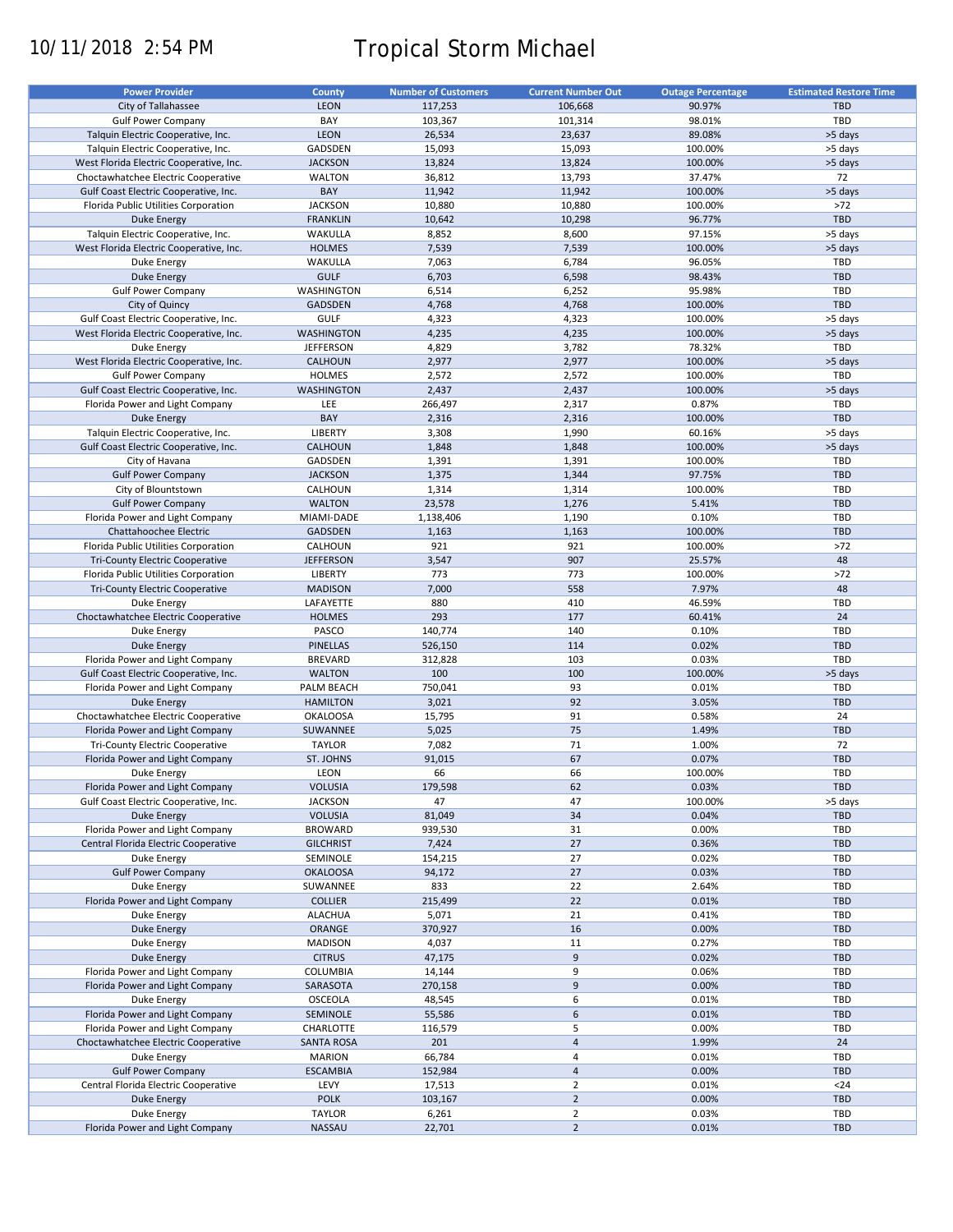# 10/11/2018 2:54 PM Tropical Storm Michael

| <b>Power Provider</b>                   | County            | <b>Number of Customers</b> | <b>Current Number Out</b> | <b>Outage Percentage</b> | <b>Estimated Restore Time</b> |
|-----------------------------------------|-------------------|----------------------------|---------------------------|--------------------------|-------------------------------|
| City of Tallahassee                     | <b>LEON</b>       | 117,253                    | 106,668                   | 90.97%                   | <b>TBD</b>                    |
|                                         |                   |                            |                           |                          | TBD                           |
| <b>Gulf Power Company</b>               | BAY               | 103,367                    | 101,314                   | 98.01%                   |                               |
| Talquin Electric Cooperative, Inc.      | <b>LEON</b>       | 26,534                     | 23,637                    | 89.08%                   | >5 days                       |
| Talquin Electric Cooperative, Inc.      | GADSDEN           | 15,093                     | 15,093                    | 100.00%                  | >5 days                       |
| West Florida Electric Cooperative, Inc. | <b>JACKSON</b>    | 13,824                     | 13,824                    | 100.00%                  | >5 days                       |
| Choctawhatchee Electric Cooperative     | <b>WALTON</b>     | 36,812                     | 13,793                    | 37.47%                   | 72                            |
| Gulf Coast Electric Cooperative, Inc.   | BAY               | 11,942                     | 11,942                    | 100.00%                  | >5 days                       |
| Florida Public Utilities Corporation    | <b>JACKSON</b>    | 10,880                     | 10,880                    | 100.00%                  | >72                           |
| Duke Energy                             | <b>FRANKLIN</b>   | 10,642                     | 10,298                    | 96.77%                   | TBD                           |
| Talquin Electric Cooperative, Inc.      | WAKULLA           | 8,852                      | 8,600                     | 97.15%                   | >5 days                       |
| West Florida Electric Cooperative, Inc. | <b>HOLMES</b>     | 7,539                      | 7,539                     | 100.00%                  | >5 days                       |
|                                         |                   |                            |                           |                          |                               |
| Duke Energy                             | WAKULLA           | 7,063                      | 6,784                     | 96.05%                   | TBD                           |
| <b>Duke Energy</b>                      | <b>GULF</b>       | 6,703                      | 6,598                     | 98.43%                   | <b>TBD</b>                    |
| <b>Gulf Power Company</b>               | WASHINGTON        | 6,514                      | 6,252                     | 95.98%                   | TBD                           |
| City of Quincy                          | <b>GADSDEN</b>    | 4,768                      | 4,768                     | 100.00%                  | <b>TBD</b>                    |
| Gulf Coast Electric Cooperative, Inc.   | <b>GULF</b>       | 4,323                      | 4,323                     | 100.00%                  | >5 days                       |
| West Florida Electric Cooperative, Inc. | <b>WASHINGTON</b> | 4,235                      | 4,235                     | 100.00%                  | >5 days                       |
| Duke Energy                             | <b>JEFFERSON</b>  | 4,829                      | 3,782                     | 78.32%                   | TBD                           |
| West Florida Electric Cooperative, Inc. | CALHOUN           | 2,977                      | 2,977                     | 100.00%                  | >5 days                       |
| <b>Gulf Power Company</b>               | <b>HOLMES</b>     | 2,572                      | 2,572                     | 100.00%                  | TBD                           |
|                                         | <b>WASHINGTON</b> | 2,437                      | 2,437                     |                          |                               |
| Gulf Coast Electric Cooperative, Inc.   |                   |                            |                           | 100.00%                  | >5 days                       |
| Florida Power and Light Company         | LEE               | 266,497                    | 2,317                     | 0.87%                    | TBD                           |
| <b>Duke Energy</b>                      | BAY               | 2,316                      | 2,316                     | 100.00%                  | <b>TBD</b>                    |
| Talquin Electric Cooperative, Inc.      | LIBERTY           | 3,308                      | 1,990                     | 60.16%                   | >5 days                       |
| Gulf Coast Electric Cooperative, Inc.   | <b>CALHOUN</b>    | 1,848                      | 1,848                     | 100.00%                  | >5 days                       |
| City of Havana                          | GADSDEN           | 1,391                      | 1,391                     | 100.00%                  | TBD                           |
| <b>Gulf Power Company</b>               | <b>JACKSON</b>    | 1,375                      | 1,344                     | 97.75%                   | <b>TBD</b>                    |
| City of Blountstown                     | CALHOUN           | 1,314                      | 1,314                     | 100.00%                  | TBD                           |
| <b>Gulf Power Company</b>               | <b>WALTON</b>     | 23,578                     | 1,276                     | 5.41%                    | <b>TBD</b>                    |
|                                         |                   |                            |                           |                          |                               |
| Florida Power and Light Company         | MIAMI-DADE        | 1,138,406                  | 1,190                     | 0.10%                    | TBD                           |
| Chattahoochee Electric                  | <b>GADSDEN</b>    | 1,163                      | 1,163                     | 100.00%                  | <b>TBD</b>                    |
| Florida Public Utilities Corporation    | CALHOUN           | 921                        | 921                       | 100.00%                  | $>72$                         |
| Tri-County Electric Cooperative         | <b>JEFFERSON</b>  | 3,547                      | 907                       | 25.57%                   | 48                            |
| Florida Public Utilities Corporation    | <b>LIBERTY</b>    | 773                        | 773                       | 100.00%                  | $>72$                         |
| <b>Tri-County Electric Cooperative</b>  | <b>MADISON</b>    | 7,000                      | 558                       | 7.97%                    | 48                            |
| Duke Energy                             | LAFAYETTE         | 880                        | 410                       | 46.59%                   | TBD                           |
| Choctawhatchee Electric Cooperative     | <b>HOLMES</b>     | 293                        | 177                       | 60.41%                   | 24                            |
| Duke Energy                             | PASCO             | 140,774                    | 140                       | 0.10%                    | TBD                           |
|                                         |                   |                            |                           |                          |                               |
| <b>Duke Energy</b>                      | <b>PINELLAS</b>   | 526,150                    | 114                       | 0.02%                    | <b>TBD</b>                    |
| Florida Power and Light Company         | <b>BREVARD</b>    | 312,828                    | 103                       | 0.03%                    | TBD                           |
| Gulf Coast Electric Cooperative, Inc.   | <b>WALTON</b>     | 100                        | 100                       | 100.00%                  | >5 days                       |
| Florida Power and Light Company         | PALM BEACH        | 750,041                    | 93                        | 0.01%                    | TBD                           |
| <b>Duke Energy</b>                      | <b>HAMILTON</b>   | 3,021                      | 92                        | 3.05%                    | <b>TBD</b>                    |
| Choctawhatchee Electric Cooperative     | <b>OKALOOSA</b>   | 15,795                     | 91                        | 0.58%                    | 24                            |
| Florida Power and Light Company         | SUWANNEE          | 5,025                      | 75                        | 1.49%                    | <b>TBD</b>                    |
| <b>Tri-County Electric Cooperative</b>  | <b>TAYLOR</b>     | 7,082                      | 71                        | 1.00%                    | 72                            |
| Florida Power and Light Company         | ST. JOHNS         | 91,015                     | 67                        | 0.07%                    | <b>TBD</b>                    |
| Duke Energy                             |                   | 66                         | 66                        |                          | TBD                           |
|                                         | LEON              |                            |                           | 100.00%                  |                               |
| Florida Power and Light Company         | <b>VOLUSIA</b>    | 179,598                    | 62                        | 0.03%                    | TBD                           |
| Gulf Coast Electric Cooperative, Inc.   | <b>JACKSON</b>    | 47                         | 47                        | 100.00%                  | >5 days                       |
| <b>Duke Energy</b>                      | <b>VOLUSIA</b>    | 81,049                     | 34                        | 0.04%                    | <b>TBD</b>                    |
| Florida Power and Light Company         | <b>BROWARD</b>    | 939,530                    | 31                        | 0.00%                    | TBD                           |
| Central Florida Electric Cooperative    | <b>GILCHRIST</b>  | 7,424                      | 27                        | 0.36%                    | <b>TBD</b>                    |
| Duke Energy                             | SEMINOLE          | 154,215                    | 27                        | 0.02%                    | TBD                           |
| <b>Gulf Power Company</b>               | <b>OKALOOSA</b>   | 94,172                     | 27                        | 0.03%                    | <b>TBD</b>                    |
| Duke Energy                             | SUWANNEE          | 833                        | 22                        | 2.64%                    | TBD                           |
|                                         |                   |                            | 22                        |                          | <b>TBD</b>                    |
| Florida Power and Light Company         | <b>COLLIER</b>    | 215,499                    |                           | 0.01%                    |                               |
| Duke Energy                             | <b>ALACHUA</b>    | 5,071                      | 21                        | 0.41%                    | TBD                           |
| Duke Energy                             | ORANGE            | 370,927                    | 16                        | 0.00%                    | <b>TBD</b>                    |
| Duke Energy                             | <b>MADISON</b>    | 4,037                      | 11                        | 0.27%                    | TBD                           |
| Duke Energy                             | <b>CITRUS</b>     | 47,175                     | 9                         | 0.02%                    | TBD                           |
| Florida Power and Light Company         | COLUMBIA          | 14,144                     | 9                         | 0.06%                    | TBD                           |
| Florida Power and Light Company         | SARASOTA          | 270,158                    | 9                         | 0.00%                    | <b>TBD</b>                    |
| Duke Energy                             | OSCEOLA           | 48,545                     | 6                         | 0.01%                    | TBD                           |
| Florida Power and Light Company         | SEMINOLE          | 55,586                     | 6                         | 0.01%                    | <b>TBD</b>                    |
|                                         |                   |                            |                           |                          |                               |
| Florida Power and Light Company         | CHARLOTTE         | 116,579                    | 5                         | 0.00%                    | TBD                           |
| Choctawhatchee Electric Cooperative     | <b>SANTA ROSA</b> | 201                        | $\overline{4}$            | 1.99%                    | 24                            |
| Duke Energy                             | <b>MARION</b>     | 66,784                     | 4                         | 0.01%                    | TBD                           |
| <b>Gulf Power Company</b>               | <b>ESCAMBIA</b>   | 152,984                    | $\overline{4}$            | 0.00%                    | <b>TBD</b>                    |
| Central Florida Electric Cooperative    | LEVY              | 17,513                     | $\overline{2}$            | 0.01%                    | $24$                          |
| Duke Energy                             | <b>POLK</b>       | 103,167                    | $\overline{2}$            | 0.00%                    | <b>TBD</b>                    |
| Duke Energy                             | <b>TAYLOR</b>     | 6,261                      | $\overline{2}$            | 0.03%                    | TBD                           |
| Florida Power and Light Company         | NASSAU            | 22,701                     | $\overline{2}$            | 0.01%                    | TBD                           |
|                                         |                   |                            |                           |                          |                               |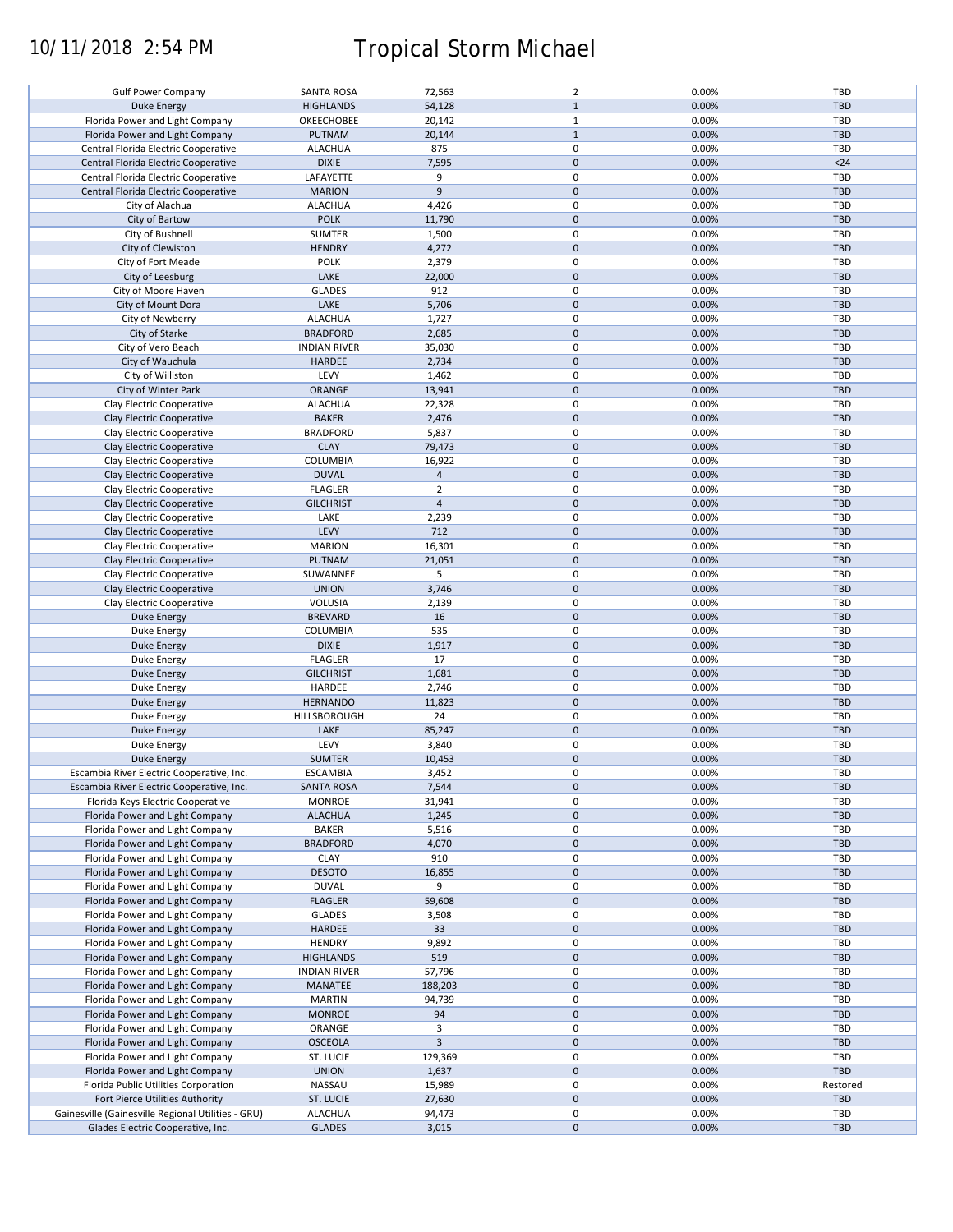# 10/11/2018 2:54 PM Tropical Storm Michael

| <b>Gulf Power Company</b>                          | <b>SANTA ROSA</b>   | 72,563                  | $\overline{2}$ | 0.00% | TBD        |
|----------------------------------------------------|---------------------|-------------------------|----------------|-------|------------|
| <b>Duke Energy</b>                                 | <b>HIGHLANDS</b>    | 54,128                  | $\mathbf{1}$   | 0.00% | <b>TBD</b> |
| Florida Power and Light Company                    | OKEECHOBEE          | 20,142                  | $\mathbf{1}$   | 0.00% | <b>TBD</b> |
|                                                    |                     |                         |                |       |            |
| Florida Power and Light Company                    | PUTNAM              | 20,144                  | $\mathbf{1}$   | 0.00% | <b>TBD</b> |
| Central Florida Electric Cooperative               | <b>ALACHUA</b>      | 875                     | 0              | 0.00% | TBD        |
| Central Florida Electric Cooperative               | <b>DIXIE</b>        | 7,595                   | $\mathbf 0$    | 0.00% | $24$       |
|                                                    |                     |                         | 0              |       |            |
| Central Florida Electric Cooperative               | LAFAYETTE           | 9                       |                | 0.00% | TBD        |
| Central Florida Electric Cooperative               | <b>MARION</b>       | 9                       | $\mathbf 0$    | 0.00% | <b>TBD</b> |
| City of Alachua                                    | <b>ALACHUA</b>      | 4,426                   | 0              | 0.00% | TBD        |
|                                                    | <b>POLK</b>         |                         | $\mathbf 0$    | 0.00% | <b>TBD</b> |
| City of Bartow                                     |                     | 11,790                  |                |       |            |
| City of Bushnell                                   | <b>SUMTER</b>       | 1,500                   | 0              | 0.00% | TBD        |
| City of Clewiston                                  | <b>HENDRY</b>       | 4,272                   | $\mathbf 0$    | 0.00% | <b>TBD</b> |
| City of Fort Meade                                 | <b>POLK</b>         | 2,379                   | 0              | 0.00% | TBD        |
|                                                    |                     |                         |                |       |            |
| City of Leesburg                                   | LAKE                | 22,000                  | $\mathbf 0$    | 0.00% | <b>TBD</b> |
| City of Moore Haven                                | <b>GLADES</b>       | 912                     | 0              | 0.00% | TBD        |
| City of Mount Dora                                 | LAKE                | 5,706                   | $\mathbf 0$    | 0.00% | <b>TBD</b> |
|                                                    |                     |                         |                |       |            |
| City of Newberry                                   | <b>ALACHUA</b>      | 1,727                   | 0              | 0.00% | TBD        |
| City of Starke                                     | <b>BRADFORD</b>     | 2,685                   | $\mathbf 0$    | 0.00% | <b>TBD</b> |
| City of Vero Beach                                 | <b>INDIAN RIVER</b> | 35,030                  | 0              | 0.00% | TBD        |
|                                                    |                     |                         |                |       |            |
| City of Wauchula                                   | <b>HARDEE</b>       | 2,734                   | $\mathbf 0$    | 0.00% | <b>TBD</b> |
| City of Williston                                  | LEVY                | 1,462                   | 0              | 0.00% | <b>TBD</b> |
| City of Winter Park                                | ORANGE              | 13,941                  | $\mathbf 0$    | 0.00% | <b>TBD</b> |
|                                                    |                     |                         |                |       |            |
| Clay Electric Cooperative                          | <b>ALACHUA</b>      | 22,328                  | 0              | 0.00% | TBD        |
| Clay Electric Cooperative                          | <b>BAKER</b>        | 2,476                   | $\mathbf 0$    | 0.00% | <b>TBD</b> |
| Clay Electric Cooperative                          | <b>BRADFORD</b>     | 5,837                   | 0              | 0.00% | <b>TBD</b> |
|                                                    |                     |                         |                |       |            |
| Clay Electric Cooperative                          | <b>CLAY</b>         | 79,473                  | 0              | 0.00% | TBD        |
| Clay Electric Cooperative                          | COLUMBIA            | 16,922                  | 0              | 0.00% | <b>TBD</b> |
| Clay Electric Cooperative                          | <b>DUVAL</b>        | $\overline{a}$          | $\mathbf 0$    | 0.00% | <b>TBD</b> |
|                                                    |                     |                         |                |       |            |
| Clay Electric Cooperative                          | <b>FLAGLER</b>      | $\overline{2}$          | 0              | 0.00% | <b>TBD</b> |
| Clay Electric Cooperative                          | <b>GILCHRIST</b>    | $\overline{4}$          | $\mathbf 0$    | 0.00% | <b>TBD</b> |
| Clay Electric Cooperative                          | LAKE                | 2,239                   | 0              | 0.00% | TBD        |
|                                                    |                     |                         |                |       |            |
| Clay Electric Cooperative                          | LEVY                | 712                     | $\mathbf 0$    | 0.00% | <b>TBD</b> |
| Clay Electric Cooperative                          | <b>MARION</b>       | 16,301                  | 0              | 0.00% | TBD        |
| Clay Electric Cooperative                          | <b>PUTNAM</b>       | 21,051                  | $\mathbf 0$    | 0.00% | <b>TBD</b> |
|                                                    |                     |                         |                |       |            |
| Clay Electric Cooperative                          | SUWANNEE            | 5                       | 0              | 0.00% | TBD        |
| Clay Electric Cooperative                          | <b>UNION</b>        | 3,746                   | $\pmb{0}$      | 0.00% | <b>TBD</b> |
| Clay Electric Cooperative                          | <b>VOLUSIA</b>      | 2,139                   | 0              | 0.00% | <b>TBD</b> |
|                                                    |                     |                         | $\pmb{0}$      |       | <b>TBD</b> |
| <b>Duke Energy</b>                                 | <b>BREVARD</b>      | 16                      |                | 0.00% |            |
| Duke Energy                                        | COLUMBIA            | 535                     | 0              | 0.00% | TBD        |
| Duke Energy                                        | <b>DIXIE</b>        | 1,917                   | $\mathbf 0$    | 0.00% | <b>TBD</b> |
|                                                    | <b>FLAGLER</b>      | 17                      | 0              | 0.00% | TBD        |
| Duke Energy                                        |                     |                         |                |       |            |
| Duke Energy                                        | <b>GILCHRIST</b>    | 1,681                   | $\mathbf 0$    | 0.00% | <b>TBD</b> |
| Duke Energy                                        | HARDEE              | 2,746                   | 0              | 0.00% | TBD        |
|                                                    |                     |                         | $\mathbf 0$    |       |            |
| Duke Energy                                        | <b>HERNANDO</b>     | 11,823                  |                | 0.00% | <b>TBD</b> |
| Duke Energy                                        | HILLSBOROUGH        | 24                      | 0              | 0.00% | TBD        |
| <b>Duke Energy</b>                                 | LAKE                | 85,247                  | $\mathbf 0$    | 0.00% | <b>TBD</b> |
|                                                    | LEVY                |                         | 0              | 0.00% | TBD        |
| Duke Energy                                        |                     | 3,840                   |                |       |            |
| <b>Duke Energy</b>                                 | <b>SUMTER</b>       | 10,453                  | $\mathbf 0$    | 0.00% | <b>TBD</b> |
| Escambia River Electric Cooperative, Inc.          | <b>ESCAMBIA</b>     | 3,452                   | 0              | 0.00% | TBD        |
| Escambia River Electric Cooperative, Inc.          |                     |                         | $\pmb{0}$      |       |            |
|                                                    | <b>SANTA ROSA</b>   | 7,544                   |                | 0.00% | <b>TBD</b> |
| Florida Keys Electric Cooperative                  | <b>MONROE</b>       | 31,941                  | 0              | 0.00% | TBD        |
| Florida Power and Light Company                    | <b>ALACHUA</b>      | 1,245                   | $\mathbf 0$    | 0.00% | <b>TBD</b> |
| Florida Power and Light Company                    | <b>BAKER</b>        | 5,516                   | 0              | 0.00% | TBD        |
|                                                    |                     |                         |                |       |            |
| Florida Power and Light Company                    | <b>BRADFORD</b>     | 4,070                   | $\mathbf 0$    | 0.00% | <b>TBD</b> |
| Florida Power and Light Company                    | <b>CLAY</b>         | 910                     | 0              | 0.00% | TBD        |
| Florida Power and Light Company                    | <b>DESOTO</b>       | 16,855                  | $\mathbf 0$    | 0.00% | <b>TBD</b> |
|                                                    |                     |                         |                |       |            |
| Florida Power and Light Company                    | <b>DUVAL</b>        | 9                       | 0              | 0.00% | TBD        |
| Florida Power and Light Company                    | <b>FLAGLER</b>      | 59,608                  | $\mathbf 0$    | 0.00% | <b>TBD</b> |
| Florida Power and Light Company                    | <b>GLADES</b>       | 3,508                   | 0              | 0.00% | TBD        |
|                                                    |                     |                         |                |       |            |
| Florida Power and Light Company                    | HARDEE              | 33                      | $\pmb{0}$      | 0.00% | <b>TBD</b> |
| Florida Power and Light Company                    | <b>HENDRY</b>       | 9,892                   | 0              | 0.00% | TBD        |
| Florida Power and Light Company                    | <b>HIGHLANDS</b>    | 519                     | $\pmb{0}$      | 0.00% | <b>TBD</b> |
|                                                    |                     |                         |                |       |            |
| Florida Power and Light Company                    | <b>INDIAN RIVER</b> | 57,796                  | $\pmb{0}$      | 0.00% | TBD        |
| Florida Power and Light Company                    | MANATEE             | 188,203                 | $\mathbf 0$    | 0.00% | <b>TBD</b> |
| Florida Power and Light Company                    | <b>MARTIN</b>       | 94,739                  | 0              | 0.00% | <b>TBD</b> |
|                                                    |                     |                         |                |       |            |
| Florida Power and Light Company                    | <b>MONROE</b>       | 94                      | $\mathbf 0$    | 0.00% | <b>TBD</b> |
| Florida Power and Light Company                    | ORANGE              | 3                       | 0              | 0.00% | <b>TBD</b> |
| Florida Power and Light Company                    | <b>OSCEOLA</b>      | $\overline{\mathbf{3}}$ | $\mathbf 0$    | 0.00% | <b>TBD</b> |
|                                                    | ST. LUCIE           | 129,369                 | 0              | 0.00% | TBD        |
| Florida Power and Light Company                    |                     |                         |                |       |            |
| Florida Power and Light Company                    | <b>UNION</b>        | 1,637                   | $\mathbf 0$    | 0.00% | TBD        |
| Florida Public Utilities Corporation               | NASSAU              | 15,989                  | 0              | 0.00% | Restored   |
| Fort Pierce Utilities Authority                    | ST. LUCIE           | 27,630                  | $\mathbf 0$    | 0.00% | TBD        |
|                                                    |                     |                         |                |       |            |
| Gainesville (Gainesville Regional Utilities - GRU) | <b>ALACHUA</b>      | 94,473                  | 0              | 0.00% | <b>TBD</b> |
| Glades Electric Cooperative, Inc.                  | <b>GLADES</b>       | 3,015                   | $\pmb{0}$      | 0.00% | TBD        |
|                                                    |                     |                         |                |       |            |